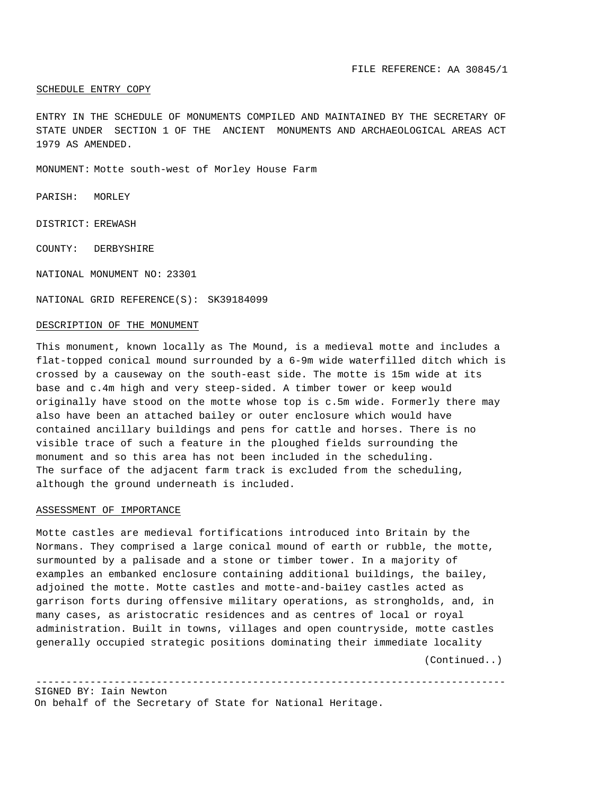# SCHEDULE ENTRY COPY

ENTRY IN THE SCHEDULE OF MONUMENTS COMPILED AND MAINTAINED BY THE SECRETARY OF STATE UNDER SECTION 1 OF THE ANCIENT MONUMENTS AND ARCHAEOLOGICAL AREAS ACT 1979 AS AMENDED.

MONUMENT: Motte south-west of Morley House Farm

PARISH: MORLEY

DISTRICT: EREWASH

COUNTY: DERBYSHIRE

NATIONAL MONUMENT NO: 23301

NATIONAL GRID REFERENCE(S): SK39184099

## DESCRIPTION OF THE MONUMENT

This monument, known locally as The Mound, is a medieval motte and includes a flat-topped conical mound surrounded by a 6-9m wide waterfilled ditch which is crossed by a causeway on the south-east side. The motte is 15m wide at its base and c.4m high and very steep-sided. A timber tower or keep would originally have stood on the motte whose top is c.5m wide. Formerly there may also have been an attached bailey or outer enclosure which would have contained ancillary buildings and pens for cattle and horses. There is no visible trace of such a feature in the ploughed fields surrounding the monument and so this area has not been included in the scheduling. The surface of the adjacent farm track is excluded from the scheduling, although the ground underneath is included.

## ASSESSMENT OF IMPORTANCE

Motte castles are medieval fortifications introduced into Britain by the Normans. They comprised a large conical mound of earth or rubble, the motte, surmounted by a palisade and a stone or timber tower. In a majority of examples an embanked enclosure containing additional buildings, the bailey, adjoined the motte. Motte castles and motte-and-bai1ey castles acted as garrison forts during offensive military operations, as strongholds, and, in many cases, as aristocratic residences and as centres of local or royal administration. Built in towns, villages and open countryside, motte castles generally occupied strategic positions dominating their immediate locality

------------------------------------------------------------------------------

(Continued..)

SIGNED BY: Iain Newton

On behalf of the Secretary of State for National Heritage.